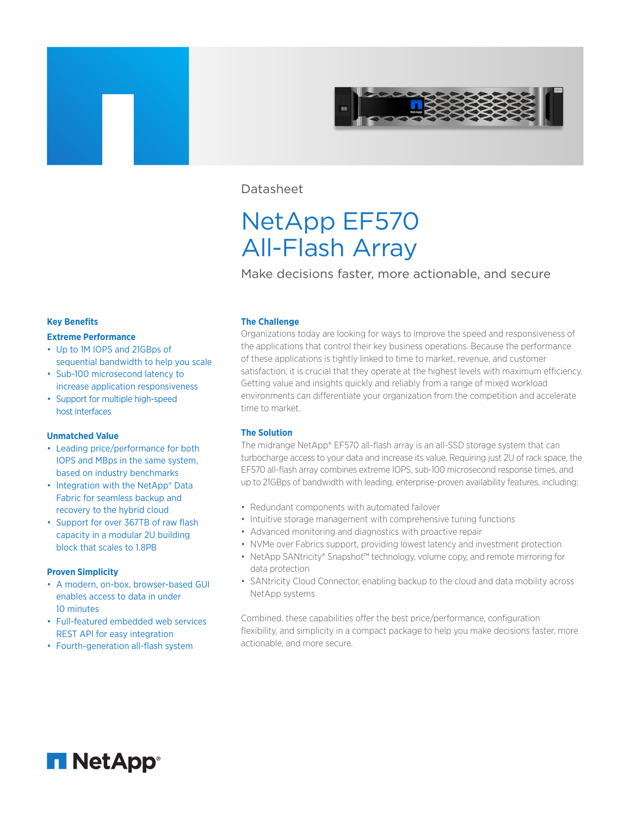

Datasheet

# NetApp EF570 All-Flash Array

Make decisions faster, more actionable, and secure

# **Key Benefits**

### **Extreme Performance**

- Up to 1M IOPS and 21GBps of sequential bandwidth to help you scale
- Sub-100 microsecond latency to increase application responsiveness
- Support for multiple high-speed host interfaces

# **Unmatched Value**

- Leading price/performance for both IOPS and MBps in the same system, based on industry benchmarks
- Integration with the NetApp® Data Fabric for seamless backup and recovery to the hybrid cloud
- Support for over 367TB of raw flash capacity in a modular 2U building block that scales to 1.8PB

# **Proven Simplicity**

- A modern, on-box, browser-based GUI enables access to data in under 10 minutes
- Full-featured embedded web services REST API for easy integration
- Fourth-generation all-flash system

# **The Challenge**

Organizations today are looking for ways to improve the speed and responsiveness of the applications that control their key business operations. Because the performance of these applications is tightly linked to time to market, revenue, and customer satisfaction, it is crucial that they operate at the highest levels with maximum efficiency. Getting value and insights quickly and reliably from a range of mixed workload environments can differentiate your organization from the competition and accelerate time to market.

# **The Solution**

The midrange NetApp® EF570 all-flash array is an all-SSD storage system that can turbocharge access to your data and increase its value. Requiring just 2U of rack space, the EF570 all-flash array combines extreme IOPS, sub-100 microsecond response times, and up to 21GBps of bandwidth with leading, enterprise-proven availability features, including:

- Redundant components with automated failover
- Intuitive storage management with comprehensive tuning functions
- Advanced monitoring and diagnostics with proactive repair
- NVMe over Fabrics support, providing lowest latency and investment protection
- NetApp SANtricity® Snapshot™ technology, volume copy, and remote mirroring for data protection
- SANtricity Cloud Connector, enabling backup to the cloud and data mobility across NetApp systems

Combined, these capabilities offer the best price/performance, configuration flexibility, and simplicity in a compact package to help you make decisions faster, more actionable, and more secure.

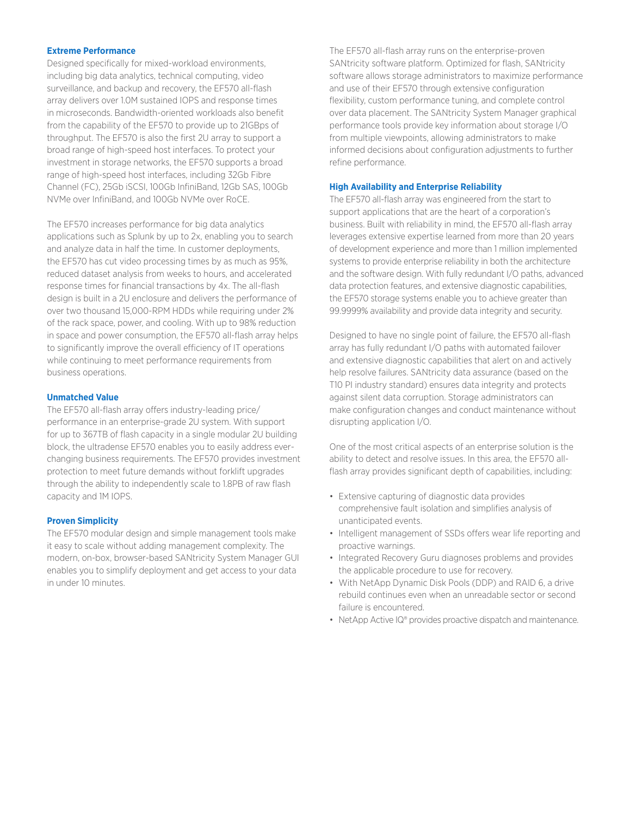# **Extreme Performance**

Designed specifically for mixed-workload environments, including big data analytics, technical computing, video surveillance, and backup and recovery, the EF570 all-flash array delivers over 1.0M sustained IOPS and response times in microseconds. Bandwidth-oriented workloads also benefit from the capability of the EF570 to provide up to 21GBps of throughput. The EF570 is also the first 2U array to support a broad range of high-speed host interfaces. To protect your investment in storage networks, the EF570 supports a broad range of high-speed host interfaces, including 32Gb Fibre Channel (FC), 25Gb iSCSI, 100Gb InfiniBand, 12Gb SAS, 100Gb NVMe over InfiniBand, and 100Gb NVMe over RoCE.

The EF570 increases performance for big data analytics applications such as Splunk by up to 2x, enabling you to search and analyze data in half the time. In customer deployments, the EF570 has cut video processing times by as much as 95%, reduced dataset analysis from weeks to hours, and accelerated response times for financial transactions by 4x. The all-flash design is built in a 2U enclosure and delivers the performance of over two thousand 15,000-RPM HDDs while requiring under 2% of the rack space, power, and cooling. With up to 98% reduction in space and power consumption, the EF570 all-flash array helps to significantly improve the overall efficiency of IT operations while continuing to meet performance requirements from business operations.

# **Unmatched Value**

The EF570 all-flash array offers industry-leading price/ performance in an enterprise-grade 2U system. With support for up to 367TB of flash capacity in a single modular 2U building block, the ultradense EF570 enables you to easily address everchanging business requirements. The EF570 provides investment protection to meet future demands without forklift upgrades through the ability to independently scale to 1.8PB of raw flash capacity and 1M IOPS.

# **Proven Simplicity**

The EF570 modular design and simple management tools make it easy to scale without adding management complexity. The modern, on-box, browser-based SANtricity System Manager GUI enables you to simplify deployment and get access to your data in under 10 minutes.

The EF570 all-flash array runs on the enterprise-proven SANtricity software platform. Optimized for flash, SANtricity software allows storage administrators to maximize performance and use of their EF570 through extensive configuration flexibility, custom performance tuning, and complete control over data placement. The SANtricity System Manager graphical performance tools provide key information about storage I/O from multiple viewpoints, allowing administrators to make informed decisions about configuration adjustments to further refine performance.

#### **High Availability and Enterprise Reliability**

The EF570 all-flash array was engineered from the start to support applications that are the heart of a corporation's business. Built with reliability in mind, the EF570 all-flash array leverages extensive expertise learned from more than 20 years of development experience and more than 1 million implemented systems to provide enterprise reliability in both the architecture and the software design. With fully redundant I/O paths, advanced data protection features, and extensive diagnostic capabilities, the EF570 storage systems enable you to achieve greater than 99.9999% availability and provide data integrity and security.

Designed to have no single point of failure, the EF570 all-flash array has fully redundant I/O paths with automated failover and extensive diagnostic capabilities that alert on and actively help resolve failures. SANtricity data assurance (based on the T10 PI industry standard) ensures data integrity and protects against silent data corruption. Storage administrators can make configuration changes and conduct maintenance without disrupting application I/O.

One of the most critical aspects of an enterprise solution is the ability to detect and resolve issues. In this area, the EF570 allflash array provides significant depth of capabilities, including:

- Extensive capturing of diagnostic data provides comprehensive fault isolation and simplifies analysis of unanticipated events.
- Intelligent management of SSDs offers wear life reporting and proactive warnings.
- Integrated Recovery Guru diagnoses problems and provides the applicable procedure to use for recovery.
- With NetApp Dynamic Disk Pools (DDP) and RAID 6, a drive rebuild continues even when an unreadable sector or second failure is encountered.
- NetApp Active IQ<sup>®</sup> provides proactive dispatch and maintenance.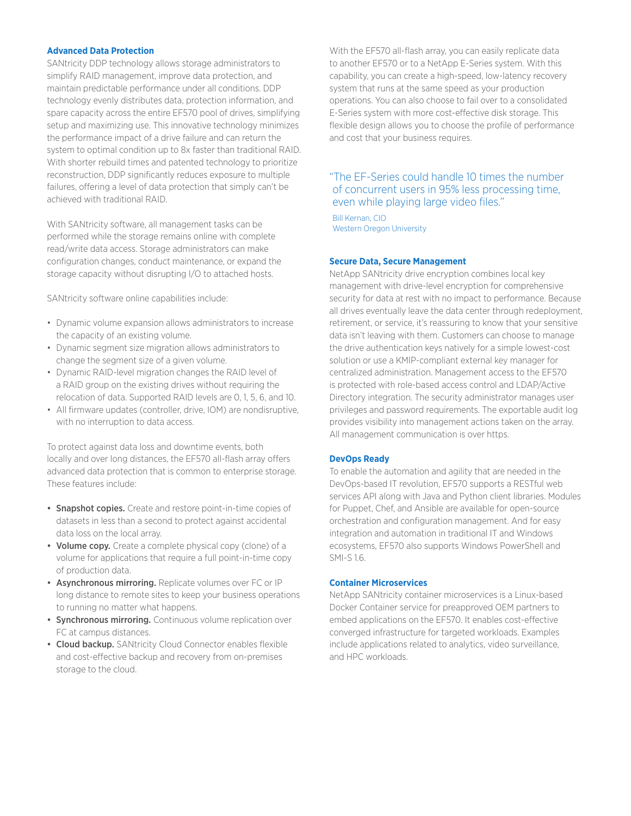# **Advanced Data Protection**

SANtricity DDP technology allows storage administrators to simplify RAID management, improve data protection, and maintain predictable performance under all conditions. DDP technology evenly distributes data, protection information, and spare capacity across the entire EF570 pool of drives, simplifying setup and maximizing use. This innovative technology minimizes the performance impact of a drive failure and can return the system to optimal condition up to 8x faster than traditional RAID. With shorter rebuild times and patented technology to prioritize reconstruction, DDP significantly reduces exposure to multiple failures, offering a level of data protection that simply can't be achieved with traditional RAID.

With SANtricity software, all management tasks can be performed while the storage remains online with complete read/write data access. Storage administrators can make configuration changes, conduct maintenance, or expand the storage capacity without disrupting I/O to attached hosts.

SANtricity software online capabilities include:

- Dynamic volume expansion allows administrators to increase the capacity of an existing volume.
- Dynamic segment size migration allows administrators to change the segment size of a given volume.
- Dynamic RAID-level migration changes the RAID level of a RAID group on the existing drives without requiring the relocation of data. Supported RAID levels are 0, 1, 5, 6, and 10.
- All firmware updates (controller, drive, IOM) are nondisruptive, with no interruption to data access.

To protect against data loss and downtime events, both locally and over long distances, the EF570 all-flash array offers advanced data protection that is common to enterprise storage. These features include:

- Snapshot copies. Create and restore point-in-time copies of datasets in less than a second to protect against accidental data loss on the local array.
- Volume copy. Create a complete physical copy (clone) of a volume for applications that require a full point-in-time copy of production data.
- Asynchronous mirroring. Replicate volumes over FC or IP long distance to remote sites to keep your business operations to running no matter what happens.
- Synchronous mirroring. Continuous volume replication over FC at campus distances.
- Cloud backup. SANtricity Cloud Connector enables flexible and cost-effective backup and recovery from on-premises storage to the cloud.

With the EF570 all-flash array, you can easily replicate data to another EF570 or to a NetApp E-Series system. With this capability, you can create a high-speed, low-latency recovery system that runs at the same speed as your production operations. You can also choose to fail over to a consolidated E-Series system with more cost-effective disk storage. This flexible design allows you to choose the profile of performance and cost that your business requires.

# "The EF-Series could handle 10 times the number of concurrent users in 95% less processing time, even while playing large video files."

Bill Kernan, CIO Western Oregon University

# **Secure Data, Secure Management**

NetApp SANtricity drive encryption combines local key management with drive-level encryption for comprehensive security for data at rest with no impact to performance. Because all drives eventually leave the data center through redeployment, retirement, or service, it's reassuring to know that your sensitive data isn't leaving with them. Customers can choose to manage the drive authentication keys natively for a simple lowest-cost solution or use a KMIP-compliant external key manager for centralized administration. Management access to the EF570 is protected with role-based access control and LDAP/Active Directory integration. The security administrator manages user privileges and password requirements. The exportable audit log provides visibility into management actions taken on the array. All management communication is over https.

# **DevOps Ready**

To enable the automation and agility that are needed in the DevOps-based IT revolution, EF570 supports a RESTful web services API along with Java and Python client libraries. Modules for Puppet, Chef, and Ansible are available for open-source orchestration and configuration management. And for easy integration and automation in traditional IT and Windows ecosystems, EF570 also supports Windows PowerShell and SMI-S 1.6.

### **Container Microservices**

NetApp SANtricity container microservices is a Linux-based Docker Container service for preapproved OEM partners to embed applications on the EF570. It enables cost-effective converged infrastructure for targeted workloads. Examples include applications related to analytics, video surveillance, and HPC workloads.